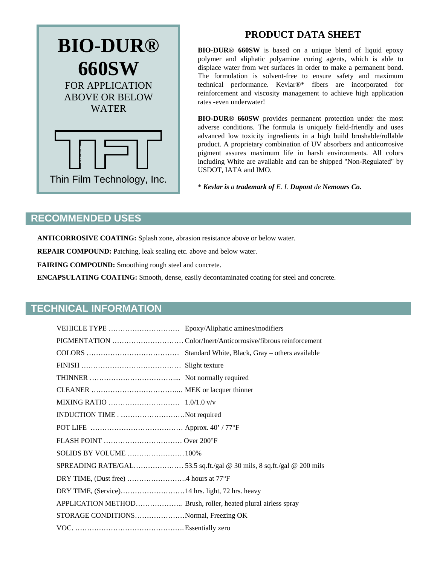

## **PRODUCT DATA SHEET**

**BIO-DUR® 660SW** is based on a unique blend of liquid epoxy polymer and aliphatic polyamine curing agents, which is able to displace water from wet surfaces in order to make a permanent bond. The formulation is solvent-free to ensure safety and maximum technical performance. Kevlar®\* fibers are incorporated for reinforcement and viscosity management to achieve high application rates -even underwater!

**BIO-DUR® 660SW** provides permanent protection under the most adverse conditions. The formula is uniquely field-friendly and uses advanced low toxicity ingredients in a high build brushable/rollable product. A proprietary combination of UV absorbers and anticorrosive pigment assures maximum life in harsh environments. All colors including White are available and can be shipped "Non-Regulated" by USDOT, IATA and IMO.

\* *Kevlar is a trademark of E. I. Dupont de Nemours Co.*

### **RECOMMENDED USES**

**ANTICORROSIVE COATING:** Splash zone, abrasion resistance above or below water.

**REPAIR COMPOUND:** Patching, leak sealing etc. above and below water.

**FAIRING COMPOUND:** Smoothing rough steel and concrete.

**ENCAPSULATING COATING:** Smooth, dense, easily decontaminated coating for steel and concrete.

### **TECHNICAL INFORMATION**

| INDUCTION TIMENot required            |  |
|---------------------------------------|--|
|                                       |  |
|                                       |  |
| SOLIDS BY VOLUME 100%                 |  |
|                                       |  |
|                                       |  |
|                                       |  |
|                                       |  |
| STORAGE CONDITIONSNormal, Freezing OK |  |
|                                       |  |